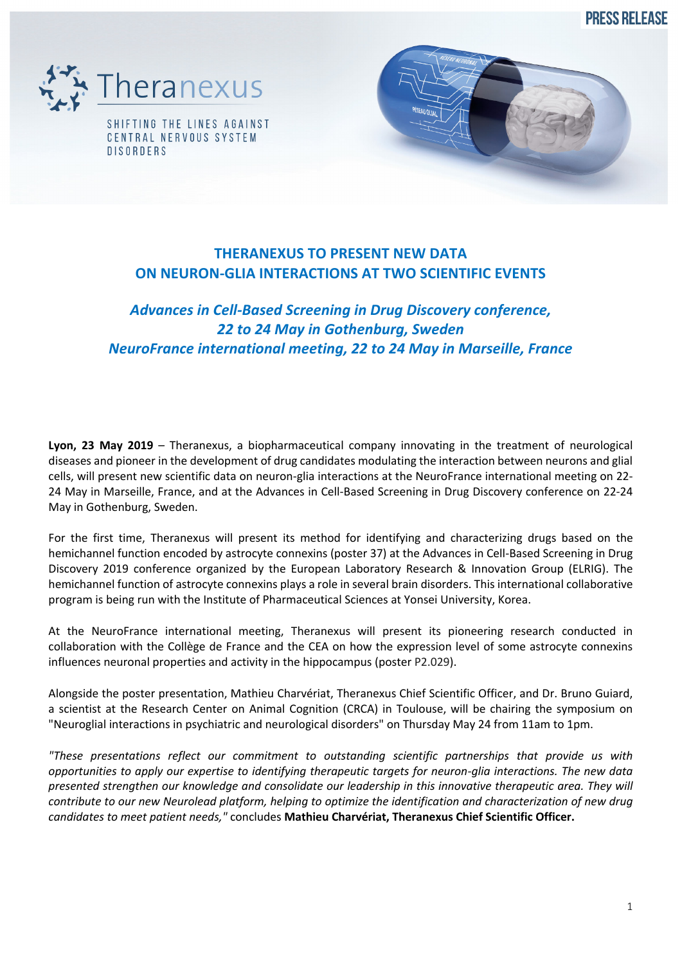**PRESS RELEASE** 



**DISORDERS** 

## **THERANEXUS TO PRESENT NEW DATA ON NEURON-GLIA INTERACTIONS AT TWO SCIENTIFIC EVENTS**

# *Advances in Cell-Based Screening in Drug Discovery conference, 22 to 24 May in Gothenburg, Sweden NeuroFrance international meeting, 22 to 24 May in Marseille, France*

**Lyon, 23 May 2019** – Theranexus, a biopharmaceutical company innovating in the treatment of neurological diseases and pioneer in the development of drug candidates modulating the interaction between neurons and glial cells, will present new scientific data on neuron-glia interactions at the NeuroFrance international meeting on 22- 24 May in Marseille, France, and at the Advances in Cell-Based Screening in Drug Discovery conference on 22-24 May in Gothenburg, Sweden.

For the first time, Theranexus will present its method for identifying and characterizing drugs based on the hemichannel function encoded by astrocyte connexins (poster 37) at the Advances in Cell-Based Screening in Drug Discovery 2019 conference organized by the European Laboratory Research & Innovation Group (ELRIG). The hemichannel function of astrocyte connexins plays a role in several brain disorders. This international collaborative program is being run with the Institute of Pharmaceutical Sciences at Yonsei University, Korea.

At the NeuroFrance international meeting, Theranexus will present its pioneering research conducted in collaboration with the Collège de France and the CEA on how the expression level of some astrocyte connexins influences neuronal properties and activity in the hippocampus (poster P2.029).

Alongside the poster presentation, Mathieu Charvériat, Theranexus Chief Scientific Officer, and Dr. Bruno Guiard, a scientist at the Research Center on Animal Cognition (CRCA) in Toulouse, will be chairing the symposium on "Neuroglial interactions in psychiatric and neurological disorders" on Thursday May 24 from 11am to 1pm.

*"These presentations reflect our commitment to outstanding scientific partnerships that provide us with opportunities to apply our expertise to identifying therapeutic targets for neuron-glia interactions. The new data presented strengthen our knowledge and consolidate our leadership in this innovative therapeutic area. They will contribute to our new Neurolead platform, helping to optimize the identification and characterization of new drug candidates to meet patient needs,"* concludes **Mathieu Charvériat, Theranexus Chief Scientific Officer.**